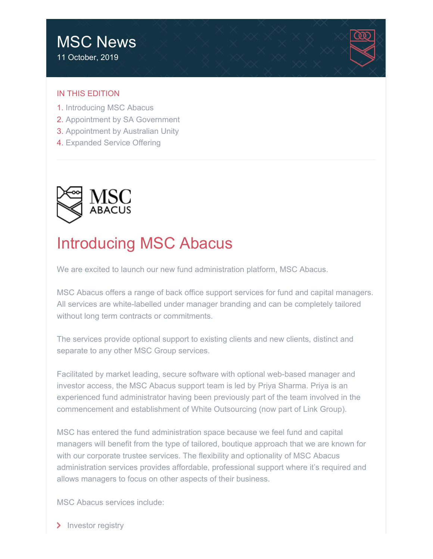### <span id="page-0-0"></span>MSC News 11 October, 2019



- 1. [Introducing MSC Abacus](#page-0-0)
- 2. [Appointment by SA Government](#page-0-0)
- 3. [Appointment by Australian Unity](#page-0-0)
- 4. [Expanded Service Offering](#page-0-0)



# Introducing MSC Abacus

We are excited to launch our new fund administration platform, MSC Abacus.

MSC Abacus offers a range of back office support services for fund and capital managers. All services are white-labelled under manager branding and can be completely tailored without long term contracts or commitments.

The services provide optional support to existing clients and new clients, distinct and separate to any other MSC Group services.

Facilitated by market leading, secure software with optional web-based manager and investor access, the MSC Abacus support team is led by Priya Sharma. Priya is an experienced fund administrator having been previously part of the team involved in the commencement and establishment of White Outsourcing (now part of Link Group).

MSC has entered the fund administration space because we feel fund and capital managers will benefit from the type of tailored, boutique approach that we are known for with our corporate trustee services. The flexibility and optionality of MSC Abacus administration services provides affordable, professional support where it's required and allows managers to focus on other aspects of their business.

MSC Abacus services include: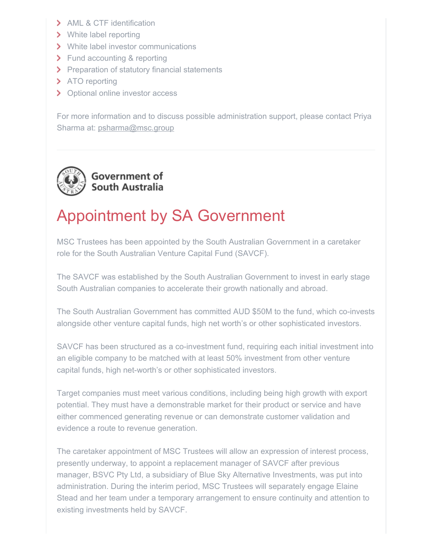- > AML & CTF identification
- > White label reporting
- > White label investor communications
- > Fund accounting & reporting
- > Preparation of statutory financial statements
- > ATO reporting
- > Optional online investor access

For more information and to discuss possible administration support, please contact Priya Sharma at: [psharma@msc.group](mailto:psharma@msc.group)



## Appointment by SA Government

MSC Trustees has been appointed by the South Australian Government in a caretaker role for the South Australian Venture Capital Fund (SAVCF).

The SAVCF was established by the South Australian Government to invest in early stage South Australian companies to accelerate their growth nationally and abroad.

The South Australian Government has committed AUD \$50M to the fund, which co-invests alongside other venture capital funds, high net worth's or other sophisticated investors.

SAVCF has been structured as a co-investment fund, requiring each initial investment into an eligible company to be matched with at least 50% investment from other venture capital funds, high net-worth's or other sophisticated investors.

Target companies must meet various conditions, including being high growth with export potential. They must have a demonstrable market for their product or service and have either commenced generating revenue or can demonstrate customer validation and evidence a route to revenue generation.

The caretaker appointment of MSC Trustees will allow an expression of interest process, presently underway, to appoint a replacement manager of SAVCF after previous manager, BSVC Pty Ltd, a subsidiary of Blue Sky Alternative Investments, was put into administration. During the interim period, MSC Trustees will separately engage Elaine Stead and her team under a temporary arrangement to ensure continuity and attention to existing investments held by SAVCF.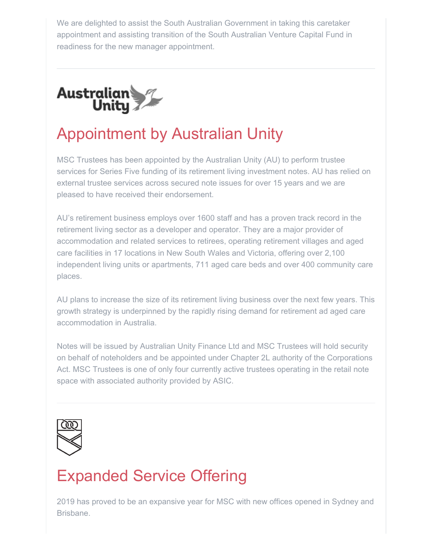We are delighted to assist the South Australian Government in taking this caretaker appointment and assisting transition of the South Australian Venture Capital Fund in readiness for the new manager appointment.



## Appointment by Australian Unity

MSC Trustees has been appointed by the Australian Unity (AU) to perform trustee services for Series Five funding of its retirement living investment notes. AU has relied on external trustee services across secured note issues for over 15 years and we are pleased to have received their endorsement.

AU's retirement business employs over 1600 staff and has a proven track record in the retirement living sector as a developer and operator. They are a major provider of accommodation and related services to retirees, operating retirement villages and aged care facilities in 17 locations in New South Wales and Victoria, offering over 2,100 independent living units or apartments, 711 aged care beds and over 400 community care places.

AU plans to increase the size of its retirement living business over the next few years. This growth strategy is underpinned by the rapidly rising demand for retirement ad aged care accommodation in Australia.

Notes will be issued by Australian Unity Finance Ltd and MSC Trustees will hold security on behalf of noteholders and be appointed under Chapter 2L authority of the Corporations Act. MSC Trustees is one of only four currently active trustees operating in the retail note space with associated authority provided by ASIC.



# Expanded Service Offering

2019 has proved to be an expansive year for MSC with new offices opened in Sydney and Brisbane.